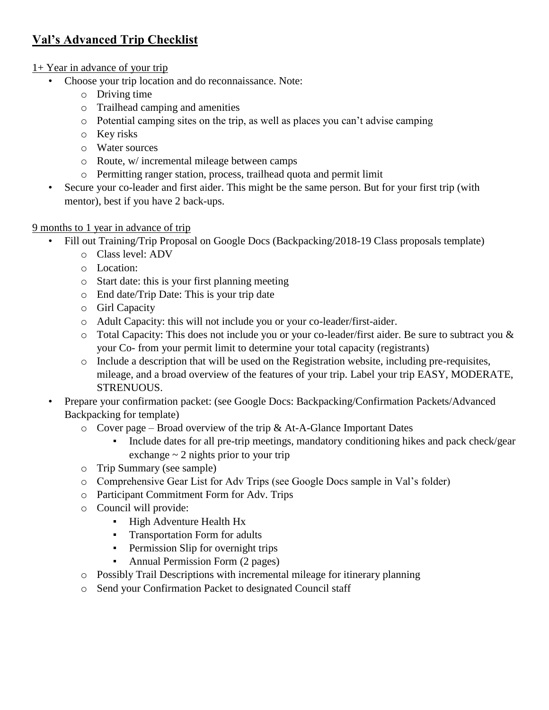# **Val's Advanced Trip Checklist**

#### 1+ Year in advance of your trip

- Choose your trip location and do reconnaissance. Note:
	- o Driving time
	- o Trailhead camping and amenities
	- o Potential camping sites on the trip, as well as places you can't advise camping
	- o Key risks
	- o Water sources
	- o Route, w/ incremental mileage between camps
	- o Permitting ranger station, process, trailhead quota and permit limit
- Secure your co-leader and first aider. This might be the same person. But for your first trip (with mentor), best if you have 2 back-ups.

#### 9 months to 1 year in advance of trip

- Fill out Training/Trip Proposal on Google Docs (Backpacking/2018-19 Class proposals template)
	- o Class level: ADV
	- o Location:
	- o Start date: this is your first planning meeting
	- o End date/Trip Date: This is your trip date
	- o Girl Capacity
	- o Adult Capacity: this will not include you or your co-leader/first-aider.
	- o Total Capacity: This does not include you or your co-leader/first aider. Be sure to subtract you & your Co- from your permit limit to determine your total capacity (registrants)
	- o Include a description that will be used on the Registration website, including pre-requisites, mileage, and a broad overview of the features of your trip. Label your trip EASY, MODERATE, STRENUOUS.
- Prepare your confirmation packet: (see Google Docs: Backpacking/Confirmation Packets/Advanced Backpacking for template)
	- $\circ$  Cover page Broad overview of the trip & At-A-Glance Important Dates
		- Include dates for all pre-trip meetings, mandatory conditioning hikes and pack check/gear exchange  $\sim$  2 nights prior to your trip
	- o Trip Summary (see sample)
	- o Comprehensive Gear List for Adv Trips (see Google Docs sample in Val's folder)
	- o Participant Commitment Form for Adv. Trips
	- o Council will provide:
		- High Adventure Health Hx
		- Transportation Form for adults
		- **•** Permission Slip for overnight trips
		- Annual Permission Form (2 pages)
	- o Possibly Trail Descriptions with incremental mileage for itinerary planning
	- o Send your Confirmation Packet to designated Council staff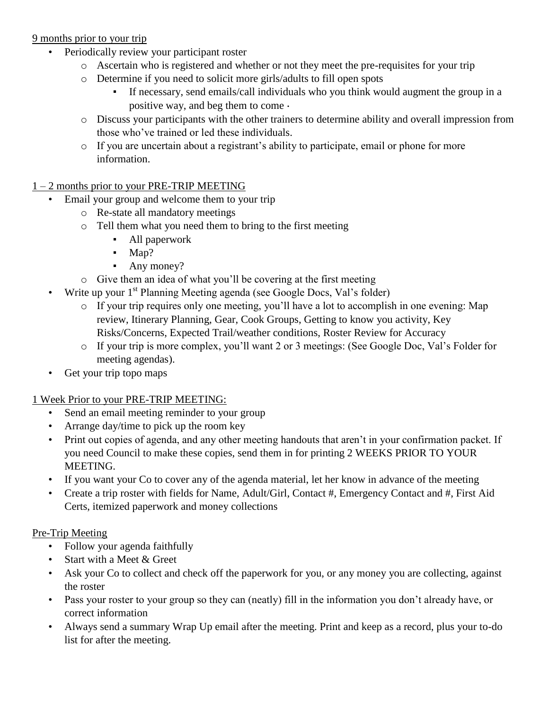#### 9 months prior to your trip

- Periodically review your participant roster
	- o Ascertain who is registered and whether or not they meet the pre-requisites for your trip
	- o Determine if you need to solicit more girls/adults to fill open spots
		- If necessary, send emails/call individuals who you think would augment the group in a positive way, and beg them to come $\cdot$
	- o Discuss your participants with the other trainers to determine ability and overall impression from those who've trained or led these individuals.
	- o If you are uncertain about a registrant's ability to participate, email or phone for more information.

#### 1 – 2 months prior to your PRE-TRIP MEETING

- Email your group and welcome them to your trip
	- o Re-state all mandatory meetings
	- o Tell them what you need them to bring to the first meeting
		- All paperwork
		- Map?
		- Any money?
	- o Give them an idea of what you'll be covering at the first meeting
- Write up your  $1<sup>st</sup>$  Planning Meeting agenda (see Google Docs, Val's folder)
	- o If your trip requires only one meeting, you'll have a lot to accomplish in one evening: Map review, Itinerary Planning, Gear, Cook Groups, Getting to know you activity, Key Risks/Concerns, Expected Trail/weather conditions, Roster Review for Accuracy
	- o If your trip is more complex, you'll want 2 or 3 meetings: (See Google Doc, Val's Folder for meeting agendas).
- Get your trip topo maps

#### 1 Week Prior to your PRE-TRIP MEETING:

- Send an email meeting reminder to your group
- Arrange day/time to pick up the room key
- Print out copies of agenda, and any other meeting handouts that aren't in your confirmation packet. If you need Council to make these copies, send them in for printing 2 WEEKS PRIOR TO YOUR MEETING.
- If you want your Co to cover any of the agenda material, let her know in advance of the meeting
- Create a trip roster with fields for Name, Adult/Girl, Contact #, Emergency Contact and #, First Aid Certs, itemized paperwork and money collections

#### Pre-Trip Meeting

- Follow your agenda faithfully
- Start with a Meet & Greet
- Ask your Co to collect and check off the paperwork for you, or any money you are collecting, against the roster
- Pass your roster to your group so they can (neatly) fill in the information you don't already have, or correct information
- Always send a summary Wrap Up email after the meeting. Print and keep as a record, plus your to-do list for after the meeting.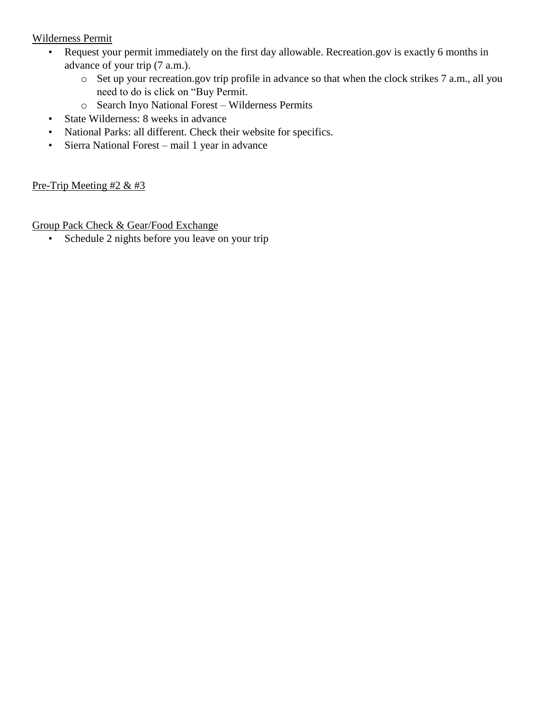#### Wilderness Permit

- Request your permit immediately on the first day allowable. Recreation.gov is exactly 6 months in advance of your trip (7 a.m.).
	- o Set up your recreation.gov trip profile in advance so that when the clock strikes 7 a.m., all you need to do is click on "Buy Permit.
	- o Search Inyo National Forest Wilderness Permits
- State Wilderness: 8 weeks in advance
- National Parks: all different. Check their website for specifics.
- Sierra National Forest mail 1 year in advance

#### Pre-Trip Meeting  $#2 \& #3$

Group Pack Check & Gear/Food Exchange

• Schedule 2 nights before you leave on your trip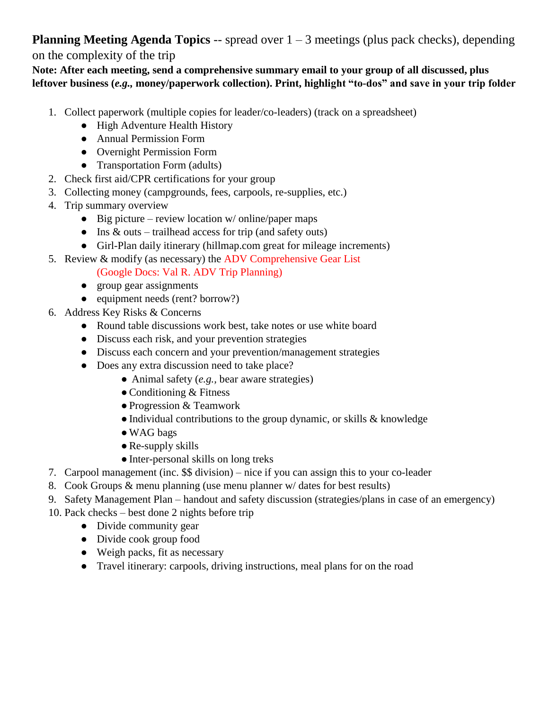**Planning Meeting Agenda Topics** -- spread over  $1 - 3$  meetings (plus pack checks), depending on the complexity of the trip

**Note: After each meeting, send a comprehensive summary email to your group of all discussed, plus leftover business (***e.g.,* **money/paperwork collection). Print, highlight "to-dos" and save in your trip folder**

- 1. Collect paperwork (multiple copies for leader/co-leaders) (track on a spreadsheet)
	- High Adventure Health History
	- Annual Permission Form
	- Overnight Permission Form
	- Transportation Form (adults)
- 2. Check first aid/CPR certifications for your group
- 3. Collecting money (campgrounds, fees, carpools, re-supplies, etc.)
- 4. Trip summary overview
	- $\bullet$  Big picture review location w/ online/paper maps
	- Ins  $&$  outs trailhead access for trip (and safety outs)
	- Girl-Plan daily itinerary (hillmap.com great for mileage increments)
- 5. Review & modify (as necessary) the ADV Comprehensive Gear List

(Google Docs: Val R. ADV Trip Planning)

- group gear assignments
- equipment needs (rent? borrow?)
- 6. Address Key Risks & Concerns
	- Round table discussions work best, take notes or use white board
	- Discuss each risk, and your prevention strategies
	- Discuss each concern and your prevention/management strategies
	- Does any extra discussion need to take place?
		- Animal safety (*e.g.,* bear aware strategies)
		- $\bullet$  Conditioning & Fitness
		- ●Progression & Teamwork
		- $\bullet$  Individual contributions to the group dynamic, or skills  $\&$  knowledge
		- ●WAG bags
		- $\bullet$  Re-supply skills
		- Inter-personal skills on long treks
- 7. Carpool management (inc. \$\$ division) nice if you can assign this to your co-leader
- 8. Cook Groups & menu planning (use menu planner w/ dates for best results)
- 9. Safety Management Plan handout and safety discussion (strategies/plans in case of an emergency)
- 10. Pack checks best done 2 nights before trip
	- Divide community gear
	- Divide cook group food
	- Weigh packs, fit as necessary
	- Travel itinerary: carpools, driving instructions, meal plans for on the road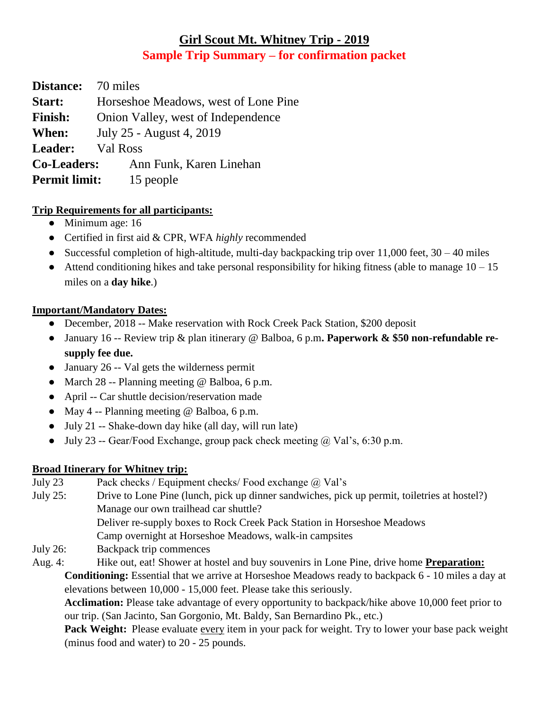# **Girl Scout Mt. Whitney Trip - 2019 Sample Trip Summary – for confirmation packet**

**Distance:** 70 miles **Start:** Horseshoe Meadows, west of Lone Pine **Finish:** Onion Valley, west of Independence **When:** July 25 - August 4, 2019 **Leader:** Val Ross **Co-Leaders:** Ann Funk, Karen Linehan **Permit limit:** 15 people

#### **Trip Requirements for all participants:**

- Minimum age: 16
- Certified in first aid & CPR, WFA *highly* recommended
- Successful completion of high-altitude, multi-day backpacking trip over  $11,000$  feet,  $30 40$  miles
- Attend conditioning hikes and take personal responsibility for hiking fitness (able to manage  $10 15$ ) miles on a **day hike**.)

#### **Important/Mandatory Dates:**

- December, 2018 -- Make reservation with Rock Creek Pack Station, \$200 deposit
- January 16 -- Review trip & plan itinerary @ Balboa, 6 p.m**. Paperwork & \$50 non-refundable resupply fee due.**
- January 26 -- Val gets the wilderness permit
- March 28 -- Planning meeting @ Balboa, 6 p.m.
- April -- Car shuttle decision/reservation made
- May 4 -- Planning meeting  $@$  Balboa, 6 p.m.
- July 21 -- Shake-down day hike (all day, will run late)
- July 23 -- Gear/Food Exchange, group pack check meeting  $\omega$  Val's, 6:30 p.m.

## **Broad Itinerary for Whitney trip:**

| July 23     | Pack checks / Equipment checks/ Food exchange @ Val's                                                      |
|-------------|------------------------------------------------------------------------------------------------------------|
| July $25$ : | Drive to Lone Pine (lunch, pick up dinner sandwiches, pick up permit, toiletries at hostel?)               |
|             | Manage our own trailhead car shuttle?                                                                      |
|             | Deliver re-supply boxes to Rock Creek Pack Station in Horseshoe Meadows                                    |
|             | Camp overnight at Horseshoe Meadows, walk-in campsites                                                     |
| July 26:    | Backpack trip commences                                                                                    |
| Aug. 4:     | Hike out, eat! Shower at hostel and buy souvenirs in Lone Pine, drive home <b>Preparation:</b>             |
|             | <b>Conditioning:</b> Essential that we arrive at Horseshoe Meadows ready to backpack 6 - 10 miles a day at |
|             | elevations between 10,000 - 15,000 feet. Please take this seriously.                                       |
|             | <b>Acclimation:</b> Please take advantage of every opportunity to backpack/hike above 10,000 feet prior to |
|             | our trip. (San Jacinto, San Gorgonio, Mt. Baldy, San Bernardino Pk., etc.)                                 |
|             | <b>Dock Wojght:</b> Dlagea avaluate every item in your pack for weight. Try to lower your base pack weight |

**Pack Weight:** Please evaluate <u>every</u> item in your pack for weight. Try to lower your base pack weight (minus food and water) to 20 - 25 pounds.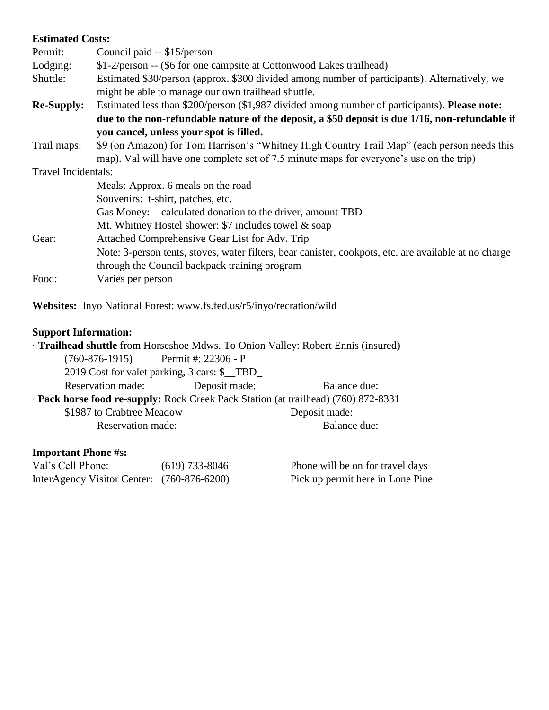| <b>Estimated Costs:</b> |                                                                                                                                                     |  |  |  |  |
|-------------------------|-----------------------------------------------------------------------------------------------------------------------------------------------------|--|--|--|--|
| Permit:                 | Council paid -- \$15/person                                                                                                                         |  |  |  |  |
| Lodging:                | \$1-2/person -- (\$6 for one campsite at Cottonwood Lakes trailhead)                                                                                |  |  |  |  |
| Shuttle:                | Estimated \$30/person (approx. \$300 divided among number of participants). Alternatively, we<br>might be able to manage our own trailhead shuttle. |  |  |  |  |
| <b>Re-Supply:</b>       | Estimated less than \$200/person (\$1,987 divided among number of participants). Please note:                                                       |  |  |  |  |
|                         | due to the non-refundable nature of the deposit, a \$50 deposit is due 1/16, non-refundable if                                                      |  |  |  |  |
|                         | you cancel, unless your spot is filled.                                                                                                             |  |  |  |  |
| Trail maps:             | \$9 (on Amazon) for Tom Harrison's "Whitney High Country Trail Map" (each person needs this                                                         |  |  |  |  |
|                         | map). Val will have one complete set of 7.5 minute maps for everyone's use on the trip)                                                             |  |  |  |  |
| Travel Incidentals:     |                                                                                                                                                     |  |  |  |  |
|                         | Meals: Approx. 6 meals on the road                                                                                                                  |  |  |  |  |
|                         | Souvenirs: t-shirt, patches, etc.                                                                                                                   |  |  |  |  |
|                         | Gas Money: calculated donation to the driver, amount TBD                                                                                            |  |  |  |  |
|                         | Mt. Whitney Hostel shower: \$7 includes towel & soap                                                                                                |  |  |  |  |
| Gear:                   | Attached Comprehensive Gear List for Adv. Trip                                                                                                      |  |  |  |  |
|                         | Note: 3-person tents, stoves, water filters, bear canister, cookpots, etc. are available at no charge                                               |  |  |  |  |
|                         | through the Council backpack training program                                                                                                       |  |  |  |  |
| Food:                   | Varies per person                                                                                                                                   |  |  |  |  |

**Websites:** Inyo National Forest: www.fs.fed.us/r5/inyo/recration/wild

## **Support Information:**

| · Trailhead shuttle from Horseshoe Mdws. To Onion Valley: Robert Ennis (insured)   |                                             |               |  |  |  |  |  |  |
|------------------------------------------------------------------------------------|---------------------------------------------|---------------|--|--|--|--|--|--|
| $(760-876-1915)$ Permit #: 22306 - P                                               |                                             |               |  |  |  |  |  |  |
| 2019 Cost for valet parking, 3 cars: \$_TBD_                                       |                                             |               |  |  |  |  |  |  |
|                                                                                    | Reservation made: ______ Deposit made: ____ | Balance due:  |  |  |  |  |  |  |
| · Pack horse food re-supply: Rock Creek Pack Station (at trailhead) (760) 872-8331 |                                             |               |  |  |  |  |  |  |
| \$1987 to Crabtree Meadow                                                          |                                             | Deposit made: |  |  |  |  |  |  |
| Reservation made:                                                                  |                                             | Balance due:  |  |  |  |  |  |  |
|                                                                                    |                                             |               |  |  |  |  |  |  |

## **Important Phone #s:**

| Val's Cell Phone:                          | $(619)$ 733-8046 | Phone will be on for travel days |
|--------------------------------------------|------------------|----------------------------------|
| InterAgency Visitor Center: (760-876-6200) |                  | Pick up permit here in Lone Pine |